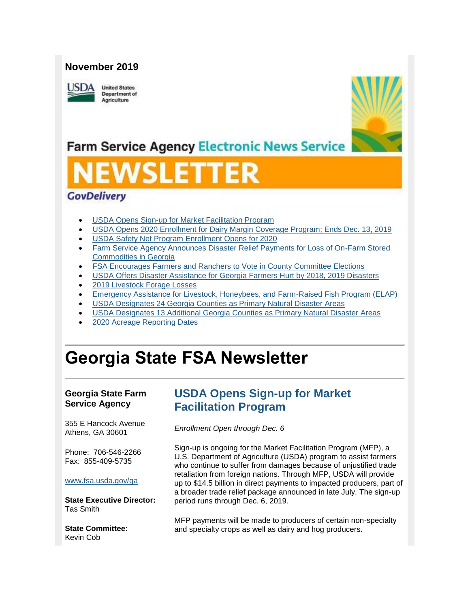#### **November 2019**



**United States Department of** Agriculture



## **Farm Service Agency Electronic News Service**

# **SLE**

#### **GovDelivery**

- [USDA Opens Sign-up for Market Facilitation Program](#page-0-0)
- [USDA Opens 2020 Enrollment for Dairy Margin Coverage Program; Ends Dec. 13, 2019](#page-2-0)
- [USDA Safety Net Program Enrollment Opens for 2020](#page-2-1)
- [Farm Service Agency Announces Disaster Relief Payments for Loss of On-Farm Stored](#page-3-0)  [Commodities in Georgia](#page-3-0)
- **FSA Encourages Farmers and Ranchers to Vote in County Committee Elections**
- [USDA Offers Disaster Assistance for Georgia Farmers Hurt by 2018, 2019 Disasters](#page-4-1)
- [2019 Livestock Forage Losses](#page-6-0)
- [Emergency Assistance for Livestock, Honeybees, and Farm-Raised Fish Program \(ELAP\)](#page-7-0)
- [USDA Designates 24 Georgia Counties as Primary Natural Disaster Areas](#page-7-1)
- [USDA Designates 13 Additional Georgia Counties as Primary Natural Disaster Areas](#page-8-0)
- [2020 Acreage Reporting Dates](#page-9-0)

## **Georgia State FSA Newsletter**

#### **Georgia State Farm Service Agency**

355 E Hancock Avenue Athens, GA 30601

Phone: 706-546-2266 Fax: 855-409-5735

#### [www.fsa.usda.gov/ga](https://gcc02.safelinks.protection.outlook.com/?url=http%3A%2F%2Fwww.fsa.usda.gov%2Fxx%3Futm_medium%3Demail%26utm_source%3Dgovdelivery&data=02%7C01%7C%7C4e32896a8e6b4a6fcb4b08d769e3aece%7Ced5b36e701ee4ebc867ee03cfa0d4697%7C0%7C0%7C637094298920984243&sdata=XgAkOU6XcMm%2F1rmkpfFG5kTbcbQsV3E7QRUkLoM5CqU%3D&reserved=0)

**State Executive Director:** Tas Smith

**State Committee:** Kevin Cob

## <span id="page-0-0"></span>**USDA Opens Sign-up for Market Facilitation Program**

*Enrollment Open through Dec. 6* 

Sign-up is ongoing for the Market Facilitation Program (MFP), a U.S. Department of Agriculture (USDA) program to assist farmers who continue to suffer from damages because of unjustified trade retaliation from foreign nations. Through MFP, USDA will provide up to \$14.5 billion in direct payments to impacted producers, part of a broader trade relief package announced in late July. The sign-up period runs through Dec. 6, 2019.

MFP payments will be made to producers of certain non-specialty and specialty crops as well as dairy and hog producers.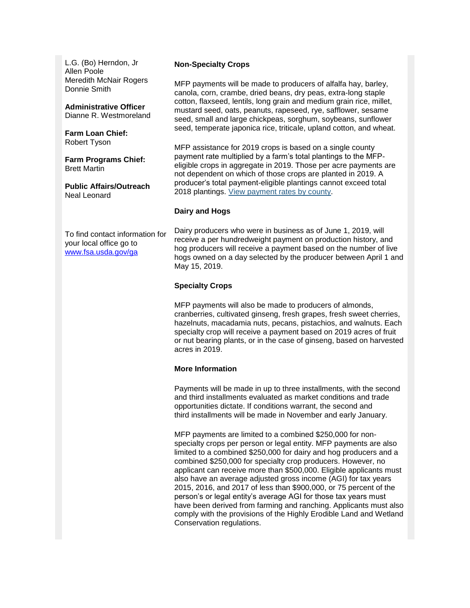L.G. (Bo) Herndon, Jr Allen Poole Meredith McNair Rogers Donnie Smith

**Administrative Officer** Dianne R. Westmoreland

**Farm Loan Chief:** Robert Tyson

**Farm Programs Chief:** Brett Martin

**Public Affairs/Outreach** Neal Leonard

To find contact information for your local office go to [www.fsa.usda.gov/ga](http://www.fsa.usda.gov/ga)

#### **Non-Specialty Crops**

MFP payments will be made to producers of alfalfa hay, barley, canola, corn, crambe, dried beans, dry peas, extra-long staple cotton, flaxseed, lentils, long grain and medium grain rice, millet, mustard seed, oats, peanuts, rapeseed, rye, safflower, sesame seed, small and large chickpeas, sorghum, soybeans, sunflower seed, temperate japonica rice, triticale, upland cotton, and wheat.

MFP assistance for 2019 crops is based on a single county payment rate multiplied by a farm's total plantings to the MFPeligible crops in aggregate in 2019. Those per acre payments are not dependent on which of those crops are planted in 2019. A producer's total payment-eligible plantings cannot exceed total 2018 plantings. [View payment rates by county.](https://gcc02.safelinks.protection.outlook.com/?url=https%3A%2F%2Fwww.fsa.usda.gov%2Fprograms-and-services%2Fmarket-facilitation-program%2Findex%3Futm_medium%3Demail%26utm_source%3Dgovdelivery&data=02%7C01%7C%7C4e32896a8e6b4a6fcb4b08d769e3aece%7Ced5b36e701ee4ebc867ee03cfa0d4697%7C0%7C0%7C637094298920994236&sdata=OZdE4MAyO2KQAHtcVHGX4M2c0CLpiasXZwg3asRpJZg%3D&reserved=0)

#### **Dairy and Hogs**

Dairy producers who were in business as of June 1, 2019, will receive a per hundredweight payment on production history, and hog producers will receive a payment based on the number of live hogs owned on a day selected by the producer between April 1 and May 15, 2019.

#### **Specialty Crops**

MFP payments will also be made to producers of almonds, cranberries, cultivated ginseng, fresh grapes, fresh sweet cherries, hazelnuts, macadamia nuts, pecans, pistachios, and walnuts. Each specialty crop will receive a payment based on 2019 acres of fruit or nut bearing plants, or in the case of ginseng, based on harvested acres in 2019.

#### **More Information**

Payments will be made in up to three installments, with the second and third installments evaluated as market conditions and trade opportunities dictate. If conditions warrant, the second and third installments will be made in November and early January.

MFP payments are limited to a combined \$250,000 for nonspecialty crops per person or legal entity. MFP payments are also limited to a combined \$250,000 for dairy and hog producers and a combined \$250,000 for specialty crop producers. However, no applicant can receive more than \$500,000. Eligible applicants must also have an average adjusted gross income (AGI) for tax years 2015, 2016, and 2017 of less than \$900,000, or 75 percent of the person's or legal entity's average AGI for those tax years must have been derived from farming and ranching. Applicants must also comply with the provisions of the Highly Erodible Land and Wetland Conservation regulations.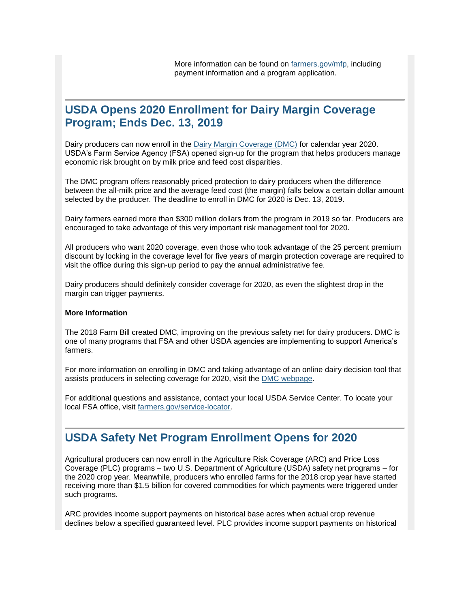## <span id="page-2-0"></span>**USDA Opens 2020 Enrollment for Dairy Margin Coverage Program; Ends Dec. 13, 2019**

Dairy producers can now enroll in the [Dairy Margin Coverage \(DMC\)](https://gcc02.safelinks.protection.outlook.com/?data=02%7C01%7C%7Cd0f82d29fdc84934b8b508d74b5ea99a%7Ced5b36e701ee4ebc867ee03cfa0d4697%7C0%7C0%7C637060742328474620&reserved=0&sdata=cx74iTzPYELV0BQmPd67KFiCGA2HUawaYPHbCmojeZo%3D&url=https%3A%2F%2Fwww.fsa.usda.gov%2FAssets%2FUSDA-FSA-Public%2Fusdafiles%2FFactSheets%2F2019%2Fdairy_margin_coverage_program-june_2019_fact_sheet.pdf%3Futm_medium%3Demail%26utm_source%3Dgovdelivery&utm_medium=email&utm_source=govdelivery) for calendar year 2020. USDA's Farm Service Agency (FSA) opened sign-up for the program that helps producers manage economic risk brought on by milk price and feed cost disparities.

The DMC program offers reasonably priced protection to dairy producers when the difference between the all-milk price and the average feed cost (the margin) falls below a certain dollar amount selected by the producer. The deadline to enroll in DMC for 2020 is Dec. 13, 2019.

Dairy farmers earned more than \$300 million dollars from the program in 2019 so far. Producers are encouraged to take advantage of this very important risk management tool for 2020.

All producers who want 2020 coverage, even those who took advantage of the 25 percent premium discount by locking in the coverage level for five years of margin protection coverage are required to visit the office during this sign-up period to pay the annual administrative fee.

Dairy producers should definitely consider coverage for 2020, as even the slightest drop in the margin can trigger payments.

#### **More Information**

The 2018 Farm Bill created DMC, improving on the previous safety net for dairy producers. DMC is one of many programs that FSA and other USDA agencies are implementing to support America's farmers.

For more information on enrolling in DMC and taking advantage of an online dairy decision tool that assists producers in selecting coverage for 2020, visit the [DMC webpage.](https://gcc02.safelinks.protection.outlook.com/?data=02%7C01%7C%7Cd0f82d29fdc84934b8b508d74b5ea99a%7Ced5b36e701ee4ebc867ee03cfa0d4697%7C0%7C0%7C637060742328474620&reserved=0&sdata=CzSGFNCco2mGC%2BEow9YEh7QMzlf7CQm6480thNS64lo%3D&url=https%3A%2F%2Fwww.fsa.usda.gov%2Fprograms-and-services%2Fdairy-margin-coverage-program%2Findex%3Futm_medium%3Demail%26utm_source%3Dgovdelivery&utm_medium=email&utm_source=govdelivery)

For additional questions and assistance, contact your local USDA Service Center. To locate your local FSA office, visit [farmers.gov/service-locator.](https://gcc02.safelinks.protection.outlook.com/?data=02%7C01%7C%7Cd0f82d29fdc84934b8b508d74b5ea99a%7Ced5b36e701ee4ebc867ee03cfa0d4697%7C0%7C0%7C637060742328484615&reserved=0&sdata=nP5j6fxPFBvtSDmtRmdQ%2Fdvj9w3%2FW5yDxFU4UkCVswk%3D&url=https%3A%2F%2Fwww.farmers.gov%2Fservice-center-locator%3Futm_medium%3Demail%26utm_source%3Dgovdelivery&utm_medium=email&utm_source=govdelivery)

## <span id="page-2-1"></span>**USDA Safety Net Program Enrollment Opens for 2020**

Agricultural producers can now enroll in the Agriculture Risk Coverage (ARC) and Price Loss Coverage (PLC) programs – two U.S. Department of Agriculture (USDA) safety net programs – for the 2020 crop year. Meanwhile, producers who enrolled farms for the 2018 crop year have started receiving more than \$1.5 billion for covered commodities for which payments were triggered under such programs.

ARC provides income support payments on historical base acres when actual crop revenue declines below a specified guaranteed level. PLC provides income support payments on historical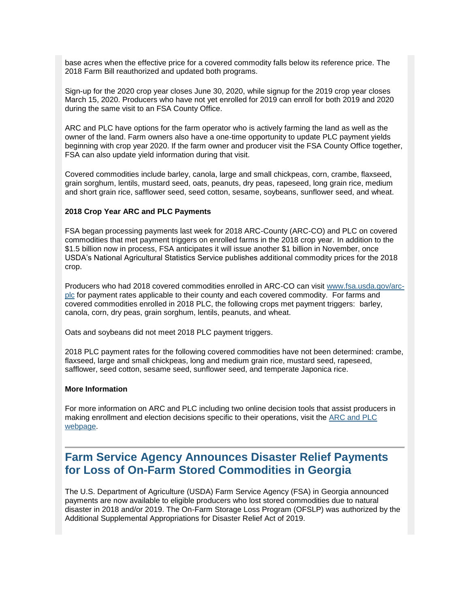base acres when the effective price for a covered commodity falls below its reference price. The 2018 Farm Bill reauthorized and updated both programs.

Sign-up for the 2020 crop year closes June 30, 2020, while signup for the 2019 crop year closes March 15, 2020. Producers who have not yet enrolled for 2019 can enroll for both 2019 and 2020 during the same visit to an FSA County Office.

ARC and PLC have options for the farm operator who is actively farming the land as well as the owner of the land. Farm owners also have a one-time opportunity to update PLC payment yields beginning with crop year 2020. If the farm owner and producer visit the FSA County Office together, FSA can also update yield information during that visit.

Covered commodities include barley, canola, large and small chickpeas, corn, crambe, flaxseed, grain sorghum, lentils, mustard seed, oats, peanuts, dry peas, rapeseed, long grain rice, medium and short grain rice, safflower seed, seed cotton, sesame, soybeans, sunflower seed, and wheat.

#### **2018 Crop Year ARC and PLC Payments**

FSA began processing payments last week for 2018 ARC-County (ARC-CO) and PLC on covered commodities that met payment triggers on enrolled farms in the 2018 crop year. In addition to the \$1.5 billion now in process, FSA anticipates it will issue another \$1 billion in November, once USDA's National Agricultural Statistics Service publishes additional commodity prices for the 2018 crop.

Producers who had 2018 covered commodities enrolled in ARC-CO can visit [www.fsa.usda.gov/arc](https://gcc02.safelinks.protection.outlook.com/?data=02%7C01%7C%7Cfc93d0bedbd6478b3ab508d7516ffc3e%7Ced5b36e701ee4ebc867ee03cfa0d4697%7C0%7C0%7C637067413726927083&reserved=0&sdata=5u5lBahkoQkG2fJB%2BA%2BpO2X3Ue%2BdnnwwQIuF5wQTQEw%3D&url=http%3A%2F%2Fwww.fsa.usda.gov%2Farc-plc%3Futm_medium%3Demail%26utm_source%3Dgovdelivery&utm_medium=email&utm_source=govdelivery)[plc](https://gcc02.safelinks.protection.outlook.com/?data=02%7C01%7C%7Cfc93d0bedbd6478b3ab508d7516ffc3e%7Ced5b36e701ee4ebc867ee03cfa0d4697%7C0%7C0%7C637067413726927083&reserved=0&sdata=5u5lBahkoQkG2fJB%2BA%2BpO2X3Ue%2BdnnwwQIuF5wQTQEw%3D&url=http%3A%2F%2Fwww.fsa.usda.gov%2Farc-plc%3Futm_medium%3Demail%26utm_source%3Dgovdelivery&utm_medium=email&utm_source=govdelivery) for payment rates applicable to their county and each covered commodity. For farms and covered commodities enrolled in 2018 PLC, the following crops met payment triggers: barley, canola, corn, dry peas, grain sorghum, lentils, peanuts, and wheat.

Oats and soybeans did not meet 2018 PLC payment triggers.

2018 PLC payment rates for the following covered commodities have not been determined: crambe, flaxseed, large and small chickpeas, long and medium grain rice, mustard seed, rapeseed, safflower, seed cotton, sesame seed, sunflower seed, and temperate Japonica rice.

#### **More Information**

For more information on ARC and PLC including two online decision tools that assist producers in making enrollment and election decisions specific to their operations, visit the [ARC and PLC](https://gcc02.safelinks.protection.outlook.com/?data=02%7C01%7C%7Cfc93d0bedbd6478b3ab508d7516ffc3e%7Ced5b36e701ee4ebc867ee03cfa0d4697%7C0%7C0%7C637067413726937039&reserved=0&sdata=TFGwcHY3b0bKMjWzujLfzODUzsddw3mpg6qwLM%2B1TQY%3D&url=https%3A%2F%2Fwww.fsa.usda.gov%2Fprograms-and-services%2Farcplc_program%2Findex%3Futm_medium%3Demail%26utm_source%3Dgovdelivery&utm_medium=email&utm_source=govdelivery)  [webpage.](https://gcc02.safelinks.protection.outlook.com/?data=02%7C01%7C%7Cfc93d0bedbd6478b3ab508d7516ffc3e%7Ced5b36e701ee4ebc867ee03cfa0d4697%7C0%7C0%7C637067413726937039&reserved=0&sdata=TFGwcHY3b0bKMjWzujLfzODUzsddw3mpg6qwLM%2B1TQY%3D&url=https%3A%2F%2Fwww.fsa.usda.gov%2Fprograms-and-services%2Farcplc_program%2Findex%3Futm_medium%3Demail%26utm_source%3Dgovdelivery&utm_medium=email&utm_source=govdelivery)

## <span id="page-3-0"></span>**Farm Service Agency Announces Disaster Relief Payments for Loss of On-Farm Stored Commodities in Georgia**

The U.S. Department of Agriculture (USDA) Farm Service Agency (FSA) in Georgia announced payments are now available to eligible producers who lost stored commodities due to natural disaster in 2018 and/or 2019. The On-Farm Storage Loss Program (OFSLP) was authorized by the Additional Supplemental Appropriations for Disaster Relief Act of 2019.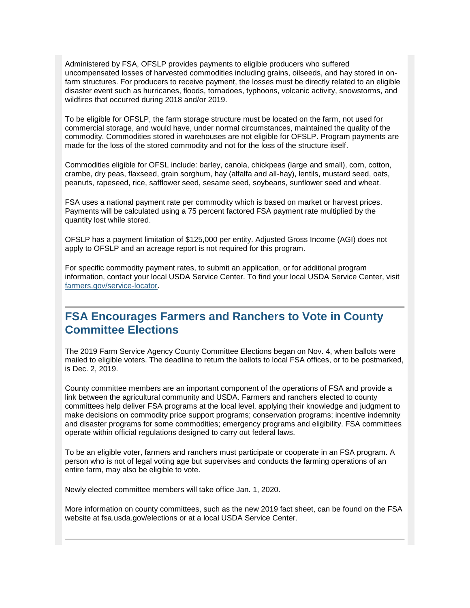<span id="page-4-1"></span>Administered by FSA, OFSLP provides payments to eligible producers who suffered uncompensated losses of harvested commodities including grains, oilseeds, and hay stored in onfarm structures. For producers to receive payment, the losses must be directly related to an eligible disaster event such as hurricanes, floods, tornadoes, typhoons, volcanic activity, snowstorms, and wildfires that occurred during 2018 and/or 2019.

To be eligible for OFSLP, the farm storage structure must be located on the farm, not used for commercial storage, and would have, under normal circumstances, maintained the quality of the commodity. Commodities stored in warehouses are not eligible for OFSLP. Program payments are made for the loss of the stored commodity and not for the loss of the structure itself.

Commodities eligible for OFSL include: barley, canola, chickpeas (large and small), corn, cotton, crambe, dry peas, flaxseed, grain sorghum, hay (alfalfa and all-hay), lentils, mustard seed, oats, peanuts, rapeseed, rice, safflower seed, sesame seed, soybeans, sunflower seed and wheat.

FSA uses a national payment rate per commodity which is based on market or harvest prices. Payments will be calculated using a 75 percent factored FSA payment rate multiplied by the quantity lost while stored.

OFSLP has a payment limitation of \$125,000 per entity. Adjusted Gross Income (AGI) does not apply to OFSLP and an acreage report is not required for this program.

For specific commodity payment rates, to submit an application, or for additional program information, contact your local USDA Service Center. To find your local USDA Service Center, visit [farmers.gov/service-locator.](https://gcc02.safelinks.protection.outlook.com/?url=http%3A%2F%2Fwww.farmers.gov%2Fservice-locator%3Futm_medium%3Demail%26utm_source%3Dgovdelivery&data=02%7C01%7C%7C4e32896a8e6b4a6fcb4b08d769e3aece%7Ced5b36e701ee4ebc867ee03cfa0d4697%7C0%7C0%7C637094298921034216&sdata=f%2F4CqDedfqFUuZBydOrCK0IUZYTsx%2Bk2bFSdPsMyBLk%3D&reserved=0)

## <span id="page-4-0"></span>**FSA Encourages Farmers and Ranchers to Vote in County Committee Elections**

The 2019 Farm Service Agency County Committee Elections began on Nov. 4, when ballots were mailed to eligible voters. The deadline to return the ballots to local FSA offices, or to be postmarked, is Dec. 2, 2019.

County committee members are an important component of the operations of FSA and provide a link between the agricultural community and USDA. Farmers and ranchers elected to county committees help deliver FSA programs at the local level, applying their knowledge and judgment to make decisions on commodity price support programs; conservation programs; incentive indemnity and disaster programs for some commodities; emergency programs and eligibility. FSA committees operate within official regulations designed to carry out federal laws.

To be an eligible voter, farmers and ranchers must participate or cooperate in an FSA program. A person who is not of legal voting age but supervises and conducts the farming operations of an entire farm, may also be eligible to vote.

Newly elected committee members will take office Jan. 1, 2020.

More information on county committees, such as the new 2019 fact sheet, can be found on the FSA website at fsa.usda.gov/elections or at a local USDA Service Center.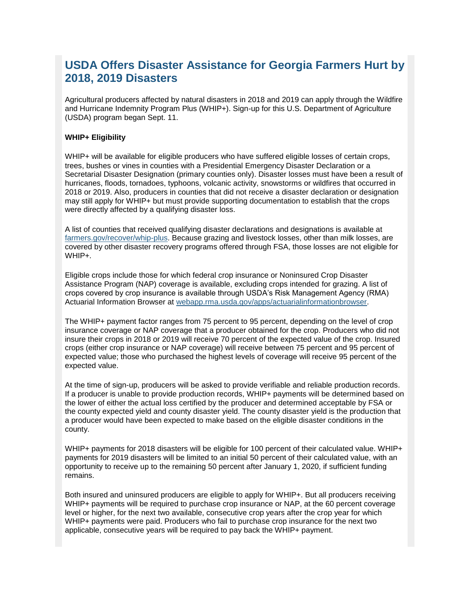## **USDA Offers Disaster Assistance for Georgia Farmers Hurt by 2018, 2019 Disasters**

Agricultural producers affected by natural disasters in 2018 and 2019 can apply through the Wildfire and Hurricane Indemnity Program Plus (WHIP+). Sign-up for this U.S. Department of Agriculture (USDA) program began Sept. 11.

#### **WHIP+ Eligibility**

WHIP+ will be available for eligible producers who have suffered eligible losses of certain crops, trees, bushes or vines in counties with a Presidential Emergency Disaster Declaration or a Secretarial Disaster Designation (primary counties only). Disaster losses must have been a result of hurricanes, floods, tornadoes, typhoons, volcanic activity, snowstorms or wildfires that occurred in 2018 or 2019. Also, producers in counties that did not receive a disaster declaration or designation may still apply for WHIP+ but must provide supporting documentation to establish that the crops were directly affected by a qualifying disaster loss.

A list of counties that received qualifying disaster declarations and designations is available at [farmers.gov/recover/whip-plus.](https://gcc02.safelinks.protection.outlook.com/?data=02%7C01%7C%7Cedf4c56314cc40b16e0108d737abe7a4%7Ced5b36e701ee4ebc867ee03cfa0d4697%7C0%7C0%7C637039083896297481&reserved=0&sdata=uDTK4J%2BLpZVgfXb%2Fep%2FqiCcIQRx5r4ys90a6b8beNPk%3D&url=https%3A%2F%2Fwww.farmers.gov%2Frecover%2Fwhip-plus%3Futm_medium%3Demail%26utm_source%3Dgovdelivery&utm_medium=email&utm_source=govdelivery) Because grazing and livestock losses, other than milk losses, are covered by other disaster recovery programs offered through FSA, those losses are not eligible for WHIP+.

Eligible crops include those for which federal crop insurance or Noninsured Crop Disaster Assistance Program (NAP) coverage is available, excluding crops intended for grazing. A list of crops covered by crop insurance is available through USDA's Risk Management Agency (RMA) Actuarial Information Browser at [webapp.rma.usda.gov/apps/actuarialinformationbrowser.](https://gcc02.safelinks.protection.outlook.com/?data=02%7C01%7C%7Cedf4c56314cc40b16e0108d737abe7a4%7Ced5b36e701ee4ebc867ee03cfa0d4697%7C0%7C0%7C637039083896307501&reserved=0&sdata=jXyP0j%2BFU612yLm9EsQdweASrsQXZoMOAXiz8T6kiis%3D&url=https%3A%2F%2Fwebapp.rma.usda.gov%2Fapps%2Factuarialinformationbrowser%2F%3Futm_medium%3Demail%26utm_source%3Dgovdelivery&utm_medium=email&utm_source=govdelivery)

The WHIP+ payment factor ranges from 75 percent to 95 percent, depending on the level of crop insurance coverage or NAP coverage that a producer obtained for the crop. Producers who did not insure their crops in 2018 or 2019 will receive 70 percent of the expected value of the crop. Insured crops (either crop insurance or NAP coverage) will receive between 75 percent and 95 percent of expected value; those who purchased the highest levels of coverage will receive 95 percent of the expected value.

At the time of sign-up, producers will be asked to provide verifiable and reliable production records. If a producer is unable to provide production records, WHIP+ payments will be determined based on the lower of either the actual loss certified by the producer and determined acceptable by FSA or the county expected yield and county disaster yield. The county disaster yield is the production that a producer would have been expected to make based on the eligible disaster conditions in the county.

WHIP+ payments for 2018 disasters will be eligible for 100 percent of their calculated value. WHIP+ payments for 2019 disasters will be limited to an initial 50 percent of their calculated value, with an opportunity to receive up to the remaining 50 percent after January 1, 2020, if sufficient funding remains.

Both insured and uninsured producers are eligible to apply for WHIP+. But all producers receiving WHIP+ payments will be required to purchase crop insurance or NAP, at the 60 percent coverage level or higher, for the next two available, consecutive crop years after the crop year for which WHIP+ payments were paid. Producers who fail to purchase crop insurance for the next two applicable, consecutive years will be required to pay back the WHIP+ payment.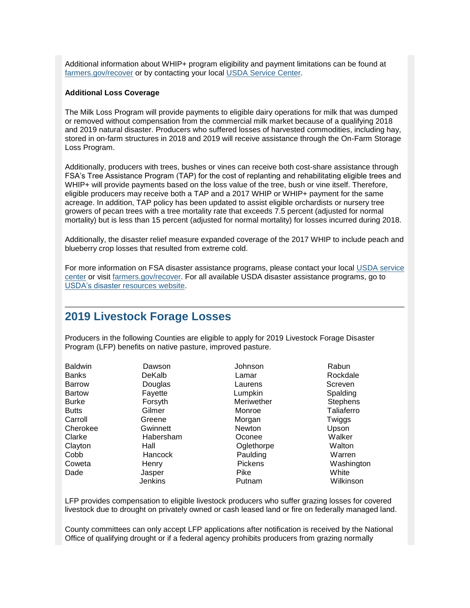Additional information about WHIP+ program eligibility and payment limitations can be found at [farmers.gov/recover](https://gcc02.safelinks.protection.outlook.com/?data=02%7C01%7C%7Cedf4c56314cc40b16e0108d737abe7a4%7Ced5b36e701ee4ebc867ee03cfa0d4697%7C0%7C0%7C637039083896307501&reserved=0&sdata=n2GSB%2FS7t4%2Fs15kYxgRd4k5EiKEYYUBcLF8KrtGjtKk%3D&url=https%3A%2F%2Fwww.farmers.gov%2Frecover%2Fwhip-plus%3Futm_medium%3Demail%26utm_source%3Dgovdelivery&utm_medium=email&utm_source=govdelivery) or by contacting your local [USDA Service Center.](https://gcc02.safelinks.protection.outlook.com/?data=02%7C01%7C%7Cedf4c56314cc40b16e0108d737abe7a4%7Ced5b36e701ee4ebc867ee03cfa0d4697%7C0%7C0%7C637039083896307501&reserved=0&sdata=jMBh%2FvACpdOtK0HfhEdcqY3W7ptI51uO3gcUKXGlPsI%3D&url=https%3A%2F%2Fwww.farmers.gov%2Fservice-center-locator%3Futm_medium%3Demail%26utm_source%3Dgovdelivery&utm_medium=email&utm_source=govdelivery)

#### **Additional Loss Coverage**

The Milk Loss Program will provide payments to eligible dairy operations for milk that was dumped or removed without compensation from the commercial milk market because of a qualifying 2018 and 2019 natural disaster. Producers who suffered losses of harvested commodities, including hay, stored in on-farm structures in 2018 and 2019 will receive assistance through the On-Farm Storage Loss Program.

Additionally, producers with trees, bushes or vines can receive both cost-share assistance through FSA's Tree Assistance Program (TAP) for the cost of replanting and rehabilitating eligible trees and WHIP+ will provide payments based on the loss value of the tree, bush or vine itself. Therefore, eligible producers may receive both a TAP and a 2017 WHIP or WHIP+ payment for the same acreage. In addition, TAP policy has been updated to assist eligible orchardists or nursery tree growers of pecan trees with a tree mortality rate that exceeds 7.5 percent (adjusted for normal mortality) but is less than 15 percent (adjusted for normal mortality) for losses incurred during 2018.

Additionally, the disaster relief measure expanded coverage of the 2017 WHIP to include peach and blueberry crop losses that resulted from extreme cold.

For more information on FSA disaster assistance programs, please contact your local [USDA service](https://gcc02.safelinks.protection.outlook.com/?data=02%7C01%7C%7Cedf4c56314cc40b16e0108d737abe7a4%7Ced5b36e701ee4ebc867ee03cfa0d4697%7C0%7C0%7C637039083896317504&reserved=0&sdata=Fh4eDAVbHCKHm3l065EpBucEjkyCJu1OlOJtddcQ0jQ%3D&url=https%3A%2F%2Fwww.farmers.gov%2Fservice-center-locator%3Futm_medium%3Demail%26utm_source%3Dgovdelivery&utm_medium=email&utm_source=govdelivery)  [center](https://gcc02.safelinks.protection.outlook.com/?data=02%7C01%7C%7Cedf4c56314cc40b16e0108d737abe7a4%7Ced5b36e701ee4ebc867ee03cfa0d4697%7C0%7C0%7C637039083896317504&reserved=0&sdata=Fh4eDAVbHCKHm3l065EpBucEjkyCJu1OlOJtddcQ0jQ%3D&url=https%3A%2F%2Fwww.farmers.gov%2Fservice-center-locator%3Futm_medium%3Demail%26utm_source%3Dgovdelivery&utm_medium=email&utm_source=govdelivery) or visit [farmers.gov/recover.](https://gcc02.safelinks.protection.outlook.com/?data=02%7C01%7C%7Cedf4c56314cc40b16e0108d737abe7a4%7Ced5b36e701ee4ebc867ee03cfa0d4697%7C0%7C0%7C637039083896317504&reserved=0&sdata=LYtlJENxSxTE7u1Em8XXrzXj5Wg%2FMEnudUo6wj1vLpM%3D&url=https%3A%2F%2Fwww.farmers.gov%2Frecover%3Futm_medium%3Demail%26utm_source%3Dgovdelivery&utm_medium=email&utm_source=govdelivery) For all available USDA disaster assistance programs, go to [USDA's disaster resources website.](https://gcc02.safelinks.protection.outlook.com/?data=02%7C01%7C%7Cedf4c56314cc40b16e0108d737abe7a4%7Ced5b36e701ee4ebc867ee03cfa0d4697%7C0%7C0%7C637039083896327516&reserved=0&sdata=6f3N0uA1lZG4EAU197U3xN5NRXLvEUpLMnU69KNkBrY%3D&url=https%3A%2F%2Fwww.usda.gov%2Ftopics%2Fdisaster%2Fstorms%3Futm_medium%3Demail%26utm_source%3Dgovdelivery&utm_medium=email&utm_source=govdelivery)

#### <span id="page-6-0"></span>**2019 Livestock Forage Losses**

Producers in the following Counties are eligible to apply for 2019 Livestock Forage Disaster Program (LFP) benefits on native pasture, improved pasture.

| <b>Baldwin</b> | Dawson    | Johnson        | Rabun           |
|----------------|-----------|----------------|-----------------|
| <b>Banks</b>   | DeKalb    | Lamar          | Rockdale        |
| <b>Barrow</b>  | Douglas   | Laurens        | Screven         |
| <b>Bartow</b>  | Fayette   | Lumpkin        | Spalding        |
| <b>Burke</b>   | Forsyth   | Meriwether     | <b>Stephens</b> |
| <b>Butts</b>   | Gilmer    | Monroe         | Taliaferro      |
| Carroll        | Greene    | Morgan         | Twiggs          |
| Cherokee       | Gwinnett  | <b>Newton</b>  | Upson           |
| Clarke         | Habersham | Oconee         | Walker          |
| Clayton        | Hall      | Oglethorpe     | Walton          |
| Cobb           | Hancock   | Paulding       | Warren          |
| Coweta         | Henry     | <b>Pickens</b> | Washington      |
| Dade           | Jasper    | Pike           | White           |
|                | Jenkins   | Putnam         | Wilkinson       |

LFP provides compensation to eligible livestock producers who suffer grazing losses for covered livestock due to drought on privately owned or cash leased land or fire on federally managed land.

County committees can only accept LFP applications after notification is received by the National Office of qualifying drought or if a federal agency prohibits producers from grazing normally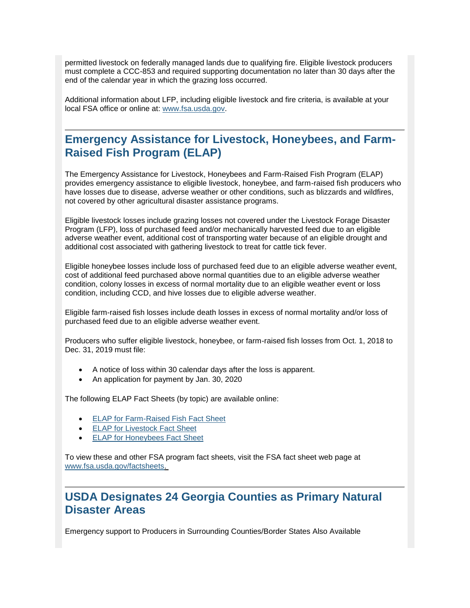permitted livestock on federally managed lands due to qualifying fire. Eligible livestock producers must complete a CCC-853 and required supporting documentation no later than 30 days after the end of the calendar year in which the grazing loss occurred.

Additional information about LFP, including eligible livestock and fire criteria, is available at your local FSA office or online at: [www.fsa.usda.gov.](https://gcc02.safelinks.protection.outlook.com/?url=http%3A%2F%2Fwww.fsa.usda.gov%2F%3Futm_medium%3Demail%26utm_source%3Dgovdelivery&data=02%7C01%7C%7C4e32896a8e6b4a6fcb4b08d769e3aece%7Ced5b36e701ee4ebc867ee03cfa0d4697%7C0%7C0%7C637094298921074194&sdata=XXGtzeHkd3i22BiJtnE%2F2BJrqf%2BB5qCCUGQNi%2BXbWgw%3D&reserved=0)

## <span id="page-7-0"></span>**Emergency Assistance for Livestock, Honeybees, and Farm-Raised Fish Program (ELAP)**

The Emergency Assistance for Livestock, Honeybees and Farm-Raised Fish Program (ELAP) provides emergency assistance to eligible livestock, honeybee, and farm-raised fish producers who have losses due to disease, adverse weather or other conditions, such as blizzards and wildfires, not covered by other agricultural disaster assistance programs.

Eligible livestock losses include grazing losses not covered under the Livestock Forage Disaster Program (LFP), loss of purchased feed and/or mechanically harvested feed due to an eligible adverse weather event, additional cost of transporting water because of an eligible drought and additional cost associated with gathering livestock to treat for cattle tick fever.

Eligible honeybee losses include loss of purchased feed due to an eligible adverse weather event, cost of additional feed purchased above normal quantities due to an eligible adverse weather condition, colony losses in excess of normal mortality due to an eligible weather event or loss condition, including CCD, and hive losses due to eligible adverse weather.

Eligible farm-raised fish losses include death losses in excess of normal mortality and/or loss of purchased feed due to an eligible adverse weather event.

Producers who suffer eligible livestock, honeybee, or farm-raised fish losses from Oct. 1, 2018 to Dec. 31, 2019 must file:

- A notice of loss within 30 calendar days after the loss is apparent.
- An application for payment by Jan. 30, 2020

The following ELAP Fact Sheets (by topic) are available online:

- [ELAP for Farm-Raised Fish Fact Sheet](https://gcc02.safelinks.protection.outlook.com/?url=https%3A%2F%2Fwww.fsa.usda.gov%2FAssets%2FUSDA-FSA-Public%2Fusdafiles%2FFactSheets%2F2018%2Felap_farm-raised_fish_assistance_fact_sheet-may_2018.pdf%3Futm_medium%3Demail%26utm_source%3Dgovdelivery&data=02%7C01%7C%7C4e32896a8e6b4a6fcb4b08d769e3aece%7Ced5b36e701ee4ebc867ee03cfa0d4697%7C0%7C1%7C637094298921074194&sdata=as0oAKElXD5w%2BCoqhABgxWUGFnXm1pwnl72O%2FSSheiQ%3D&reserved=0)
- [ELAP for Livestock Fact Sheet](https://gcc02.safelinks.protection.outlook.com/?url=https%3A%2F%2Fwww.fsa.usda.gov%2FAssets%2FUSDA-FSA-Public%2Fusdafiles%2FFactSheets%2F2018%2Felap_livestock_assistance_fact_sheet-may_2018.pdf%3Futm_medium%3Demail%26utm_source%3Dgovdelivery&data=02%7C01%7C%7C4e32896a8e6b4a6fcb4b08d769e3aece%7Ced5b36e701ee4ebc867ee03cfa0d4697%7C0%7C1%7C637094298921084189&sdata=4%2FDoFZu1y1bqU2Sywc4FUYs9darfFLrWFVk5FZYf4g0%3D&reserved=0)
- **[ELAP for Honeybees Fact Sheet](https://gcc02.safelinks.protection.outlook.com/?url=https%3A%2F%2Fwww.fsa.usda.gov%2FAssets%2FUSDA-FSA-Public%2Fusdafiles%2FFactSheets%2F2018%2Felap_honeybee_assistance_fact_sheet-may_2018.pdf%3Futm_medium%3Demail%26utm_source%3Dgovdelivery&data=02%7C01%7C%7C4e32896a8e6b4a6fcb4b08d769e3aece%7Ced5b36e701ee4ebc867ee03cfa0d4697%7C0%7C1%7C637094298921084189&sdata=yG%2FwP2RP2K13oIKWBJCXO0Jslh1N0RlTDFurdx6bhUg%3D&reserved=0)**

To view these and other FSA program fact sheets, visit the FSA fact sheet web page at [www.fsa.usda.gov/factsheets.](https://gcc02.safelinks.protection.outlook.com/?url=http%3A%2F%2Fwww.fsa.usda.gov%2Ffactsheets%3Futm_medium%3Demail%26utm_source%3Dgovdelivery&data=02%7C01%7C%7C4e32896a8e6b4a6fcb4b08d769e3aece%7Ced5b36e701ee4ebc867ee03cfa0d4697%7C0%7C0%7C637094298921094183&sdata=bcOMqJEKwR7rMZBsctd3ooqYKDlK%2Fk01%2FhPvjBD4Dsc%3D&reserved=0)

## <span id="page-7-1"></span>**USDA Designates 24 Georgia Counties as Primary Natural Disaster Areas**

Emergency support to Producers in Surrounding Counties/Border States Also Available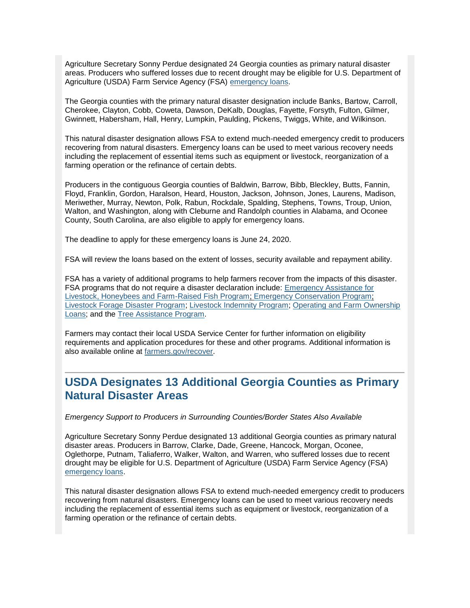Agriculture Secretary Sonny Perdue designated 24 Georgia counties as primary natural disaster areas. Producers who suffered losses due to recent drought may be eligible for U.S. Department of Agriculture (USDA) Farm Service Agency (FSA) [emergency loans.](https://gcc02.safelinks.protection.outlook.com/?url=https%3A%2F%2Fwww.fsa.usda.gov%2Fprograms-and-services%2Ffarm-loan-programs%2Femergency-farm-loans%2Findex%3Futm_medium%3Demail%26utm_source%3Dgovdelivery&data=02%7C01%7C%7C4e32896a8e6b4a6fcb4b08d769e3aece%7Ced5b36e701ee4ebc867ee03cfa0d4697%7C0%7C0%7C637094298921094183&sdata=rXMrl26L6LH1In50pzkgJp%2BxsyeA2ss3KfSDmWCpkU8%3D&reserved=0)

The Georgia counties with the primary natural disaster designation include Banks, Bartow, Carroll, Cherokee, Clayton, Cobb, Coweta, Dawson, DeKalb, Douglas, Fayette, Forsyth, Fulton, Gilmer, Gwinnett, Habersham, Hall, Henry, Lumpkin, Paulding, Pickens, Twiggs, White, and Wilkinson.

This natural disaster designation allows FSA to extend much-needed emergency credit to producers recovering from natural disasters. Emergency loans can be used to meet various recovery needs including the replacement of essential items such as equipment or livestock, reorganization of a farming operation or the refinance of certain debts.

Producers in the contiguous Georgia counties of Baldwin, Barrow, Bibb, Bleckley, Butts, Fannin, Floyd, Franklin, Gordon, Haralson, Heard, Houston, Jackson, Johnson, Jones, Laurens, Madison, Meriwether, Murray, Newton, Polk, Rabun, Rockdale, Spalding, Stephens, Towns, Troup, Union, Walton, and Washington, along with Cleburne and Randolph counties in Alabama, and Oconee County, South Carolina, are also eligible to apply for emergency loans.

The deadline to apply for these emergency loans is June 24, 2020.

FSA will review the loans based on the extent of losses, security available and repayment ability.

FSA has a variety of additional programs to help farmers recover from the impacts of this disaster. FSA programs that do not require a disaster declaration include: [Emergency Assistance for](https://gcc02.safelinks.protection.outlook.com/?url=https%3A%2F%2Fwww.fsa.usda.gov%2Fprograms-and-services%2Fdisaster-assistance-program%2Femergency-assist-for-livestock-honey-bees-fish%2Findex%3Futm_medium%3Demail%26utm_source%3Dgovdelivery&data=02%7C01%7C%7C4e32896a8e6b4a6fcb4b08d769e3aece%7Ced5b36e701ee4ebc867ee03cfa0d4697%7C0%7C0%7C637094298921104181&sdata=2b1uIu2zBzynUahJBZQIq2QlYaRorKcpGZEfvrhK%2BUM%3D&reserved=0)  [Livestock, Honeybees and Farm-Raised Fish Program;](https://gcc02.safelinks.protection.outlook.com/?url=https%3A%2F%2Fwww.fsa.usda.gov%2Fprograms-and-services%2Fdisaster-assistance-program%2Femergency-assist-for-livestock-honey-bees-fish%2Findex%3Futm_medium%3Demail%26utm_source%3Dgovdelivery&data=02%7C01%7C%7C4e32896a8e6b4a6fcb4b08d769e3aece%7Ced5b36e701ee4ebc867ee03cfa0d4697%7C0%7C0%7C637094298921104181&sdata=2b1uIu2zBzynUahJBZQIq2QlYaRorKcpGZEfvrhK%2BUM%3D&reserved=0) [Emergency Conservation Program;](https://gcc02.safelinks.protection.outlook.com/?url=https%3A%2F%2Fwww.fsa.usda.gov%2Fprograms-and-services%2Fconservation-programs%2Femergency-conservation%2Findex%3Futm_medium%3Demail%26utm_source%3Dgovdelivery&data=02%7C01%7C%7C4e32896a8e6b4a6fcb4b08d769e3aece%7Ced5b36e701ee4ebc867ee03cfa0d4697%7C0%7C0%7C637094298921114171&sdata=fXBjlcaEjBnzjXPZmhcLN%2FV3KQho3AkyisqQNQxIOIY%3D&reserved=0) [Livestock Forage Disaster Program;](https://gcc02.safelinks.protection.outlook.com/?url=https%3A%2F%2Fwww.fsa.usda.gov%2Fprograms-and-services%2Fdisaster-assistance-program%2Flivestock-forage%2Findex%3Futm_medium%3Demail%26utm_source%3Dgovdelivery&data=02%7C01%7C%7C4e32896a8e6b4a6fcb4b08d769e3aece%7Ced5b36e701ee4ebc867ee03cfa0d4697%7C0%7C0%7C637094298921114171&sdata=aMLfXgM2CIAouU7vgBq8%2Ff7uBTFBMZ8iYmwAcixQr4I%3D&reserved=0) [Livestock Indemnity Program;](https://gcc02.safelinks.protection.outlook.com/?url=https%3A%2F%2Fwww.fsa.usda.gov%2Fprograms-and-services%2Fdisaster-assistance-program%2Flivestock-indemnity%2Findex%3Futm_medium%3Demail%26utm_source%3Dgovdelivery&data=02%7C01%7C%7C4e32896a8e6b4a6fcb4b08d769e3aece%7Ced5b36e701ee4ebc867ee03cfa0d4697%7C0%7C0%7C637094298921124164&sdata=3FeTMvoq8JxQ9w%2FvnAJ1eT6blgm3Lvh0QjTqBcrvIX0%3D&reserved=0) [Operating and Farm Ownership](https://gcc02.safelinks.protection.outlook.com/?url=https%3A%2F%2Fwww.fsa.usda.gov%2Fprograms-and-services%2Ffarm-loan-programs%2Findex%3Futm_medium%3Demail%26utm_source%3Dgovdelivery&data=02%7C01%7C%7C4e32896a8e6b4a6fcb4b08d769e3aece%7Ced5b36e701ee4ebc867ee03cfa0d4697%7C0%7C0%7C637094298921124164&sdata=HpSENt0DG2Z%2FdbauwEeedWPNKiM%2FxFwNqZC%2FAm22Psc%3D&reserved=0)  [Loans;](https://gcc02.safelinks.protection.outlook.com/?url=https%3A%2F%2Fwww.fsa.usda.gov%2Fprograms-and-services%2Ffarm-loan-programs%2Findex%3Futm_medium%3Demail%26utm_source%3Dgovdelivery&data=02%7C01%7C%7C4e32896a8e6b4a6fcb4b08d769e3aece%7Ced5b36e701ee4ebc867ee03cfa0d4697%7C0%7C0%7C637094298921124164&sdata=HpSENt0DG2Z%2FdbauwEeedWPNKiM%2FxFwNqZC%2FAm22Psc%3D&reserved=0) and the [Tree Assistance Program.](https://gcc02.safelinks.protection.outlook.com/?url=https%3A%2F%2Fwww.fsa.usda.gov%2Fprograms-and-services%2Fdisaster-assistance-program%2Ftree-assistance-program%2Findex%3Futm_medium%3Demail%26utm_source%3Dgovdelivery&data=02%7C01%7C%7C4e32896a8e6b4a6fcb4b08d769e3aece%7Ced5b36e701ee4ebc867ee03cfa0d4697%7C0%7C0%7C637094298921134163&sdata=n%2FmaRuPM1aasZwVdqI9XpVmTxGM%2BG1SBUc9VLQ5S%2Fbg%3D&reserved=0)

Farmers may contact their local USDA Service Center for further information on eligibility requirements and application procedures for these and other programs. Additional information is also available online at [farmers.gov/recover.](https://gcc02.safelinks.protection.outlook.com/?url=https%3A%2F%2Fwww.farmers.gov%2Frecover%3Futm_medium%3Demail%26utm_source%3Dgovdelivery&data=02%7C01%7C%7C4e32896a8e6b4a6fcb4b08d769e3aece%7Ced5b36e701ee4ebc867ee03cfa0d4697%7C0%7C0%7C637094298921134163&sdata=cAzMdTpyJ%2F%2FJ%2FLKuDzikWEsOjVcbQsOJ5VRpZsUpq2o%3D&reserved=0)

## <span id="page-8-0"></span>**USDA Designates 13 Additional Georgia Counties as Primary Natural Disaster Areas**

*Emergency Support to Producers in Surrounding Counties/Border States Also Available*

Agriculture Secretary Sonny Perdue designated 13 additional Georgia counties as primary natural disaster areas. Producers in Barrow, Clarke, Dade, Greene, Hancock, Morgan, Oconee, Oglethorpe, Putnam, Taliaferro, Walker, Walton, and Warren, who suffered losses due to recent drought may be eligible for U.S. Department of Agriculture (USDA) Farm Service Agency (FSA) [emergency loans.](https://gcc02.safelinks.protection.outlook.com/?url=https%3A%2F%2Fwww.fsa.usda.gov%2Fprograms-and-services%2Ffarm-loan-programs%2Femergency-farm-loans%2Findex%3Futm_medium%3Demail%26utm_source%3Dgovdelivery&data=02%7C01%7C%7C4e32896a8e6b4a6fcb4b08d769e3aece%7Ced5b36e701ee4ebc867ee03cfa0d4697%7C0%7C0%7C637094298921144152&sdata=RasiyarixRHW2OdnZySJT1HfWGH0I6ZewGM8oh75Bow%3D&reserved=0)

This natural disaster designation allows FSA to extend much-needed emergency credit to producers recovering from natural disasters. Emergency loans can be used to meet various recovery needs including the replacement of essential items such as equipment or livestock, reorganization of a farming operation or the refinance of certain debts.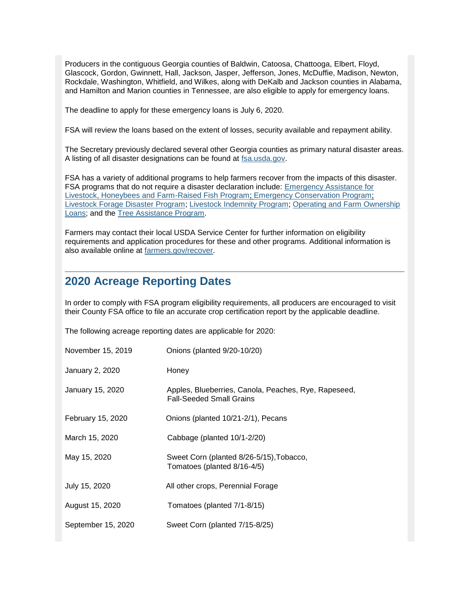Producers in the contiguous Georgia counties of Baldwin, Catoosa, Chattooga, Elbert, Floyd, Glascock, Gordon, Gwinnett, Hall, Jackson, Jasper, Jefferson, Jones, McDuffie, Madison, Newton, Rockdale, Washington, Whitfield, and Wilkes, along with DeKalb and Jackson counties in Alabama, and Hamilton and Marion counties in Tennessee, are also eligible to apply for emergency loans.

The deadline to apply for these emergency loans is July 6, 2020.

FSA will review the loans based on the extent of losses, security available and repayment ability.

The Secretary previously declared several other Georgia counties as primary natural disaster areas. A listing of all disaster designations can be found at [fsa.usda.gov.](https://gcc02.safelinks.protection.outlook.com/?url=http%3A%2F%2Fwww.fsa.usda.gov%2F%3Futm_medium%3Demail%26utm_source%3Dgovdelivery&data=02%7C01%7C%7C4e32896a8e6b4a6fcb4b08d769e3aece%7Ced5b36e701ee4ebc867ee03cfa0d4697%7C0%7C0%7C637094298921144152&sdata=wmuOhanMroMgUycCGlJ%2BwvhECVatNEzjgPEOeAmA8Mg%3D&reserved=0)

FSA has a variety of additional programs to help farmers recover from the impacts of this disaster. FSA programs that do not require a disaster declaration include: [Emergency Assistance for](https://gcc02.safelinks.protection.outlook.com/?url=https%3A%2F%2Fwww.fsa.usda.gov%2Fprograms-and-services%2Fdisaster-assistance-program%2Femergency-assist-for-livestock-honey-bees-fish%2Findex%3Futm_medium%3Demail%26utm_source%3Dgovdelivery&data=02%7C01%7C%7C4e32896a8e6b4a6fcb4b08d769e3aece%7Ced5b36e701ee4ebc867ee03cfa0d4697%7C0%7C0%7C637094298921154142&sdata=D63cUm0yQ7PsLA8Q86V%2FIo%2BRKle7kEwiogwy5a8LFTI%3D&reserved=0)  [Livestock, Honeybees and Farm-Raised Fish Program;](https://gcc02.safelinks.protection.outlook.com/?url=https%3A%2F%2Fwww.fsa.usda.gov%2Fprograms-and-services%2Fdisaster-assistance-program%2Femergency-assist-for-livestock-honey-bees-fish%2Findex%3Futm_medium%3Demail%26utm_source%3Dgovdelivery&data=02%7C01%7C%7C4e32896a8e6b4a6fcb4b08d769e3aece%7Ced5b36e701ee4ebc867ee03cfa0d4697%7C0%7C0%7C637094298921154142&sdata=D63cUm0yQ7PsLA8Q86V%2FIo%2BRKle7kEwiogwy5a8LFTI%3D&reserved=0) [Emergency Conservation Program;](https://gcc02.safelinks.protection.outlook.com/?url=https%3A%2F%2Fwww.fsa.usda.gov%2Fprograms-and-services%2Fconservation-programs%2Femergency-conservation%2Findex%3Futm_medium%3Demail%26utm_source%3Dgovdelivery&data=02%7C01%7C%7C4e32896a8e6b4a6fcb4b08d769e3aece%7Ced5b36e701ee4ebc867ee03cfa0d4697%7C0%7C0%7C637094298921154142&sdata=Q4pQqseH3tjciUKDW9oxCWQd1EhHQeS0%2FnHTIlsyFaA%3D&reserved=0) [Livestock Forage Disaster Program;](https://gcc02.safelinks.protection.outlook.com/?url=https%3A%2F%2Fwww.fsa.usda.gov%2Fprograms-and-services%2Fdisaster-assistance-program%2Flivestock-forage%2Findex%3Futm_medium%3Demail%26utm_source%3Dgovdelivery&data=02%7C01%7C%7C4e32896a8e6b4a6fcb4b08d769e3aece%7Ced5b36e701ee4ebc867ee03cfa0d4697%7C0%7C0%7C637094298921164150&sdata=gCtIgupT%2BeMIwEPgtYHkoh9VqOeQC%2FWpIKUznyZBJTE%3D&reserved=0) [Livestock Indemnity Program;](https://gcc02.safelinks.protection.outlook.com/?url=https%3A%2F%2Fwww.fsa.usda.gov%2Fprograms-and-services%2Fdisaster-assistance-program%2Flivestock-indemnity%2Findex%3Futm_medium%3Demail%26utm_source%3Dgovdelivery&data=02%7C01%7C%7C4e32896a8e6b4a6fcb4b08d769e3aece%7Ced5b36e701ee4ebc867ee03cfa0d4697%7C0%7C0%7C637094298921174137&sdata=Rj4Dkk77YO6hDjljqe8U6zQMwt%2FczKyjgdAe%2Bi%2FuWAw%3D&reserved=0) [Operating and Farm Ownership](https://gcc02.safelinks.protection.outlook.com/?url=https%3A%2F%2Fwww.fsa.usda.gov%2Fprograms-and-services%2Ffarm-loan-programs%2Findex%3Futm_medium%3Demail%26utm_source%3Dgovdelivery&data=02%7C01%7C%7C4e32896a8e6b4a6fcb4b08d769e3aece%7Ced5b36e701ee4ebc867ee03cfa0d4697%7C0%7C0%7C637094298921174137&sdata=5Ai8k%2B35cHFYnN1uhUm97rdZeTCXvKFRs6DtlRITk4s%3D&reserved=0)  [Loans;](https://gcc02.safelinks.protection.outlook.com/?url=https%3A%2F%2Fwww.fsa.usda.gov%2Fprograms-and-services%2Ffarm-loan-programs%2Findex%3Futm_medium%3Demail%26utm_source%3Dgovdelivery&data=02%7C01%7C%7C4e32896a8e6b4a6fcb4b08d769e3aece%7Ced5b36e701ee4ebc867ee03cfa0d4697%7C0%7C0%7C637094298921174137&sdata=5Ai8k%2B35cHFYnN1uhUm97rdZeTCXvKFRs6DtlRITk4s%3D&reserved=0) and the [Tree Assistance Program.](https://gcc02.safelinks.protection.outlook.com/?url=https%3A%2F%2Fwww.fsa.usda.gov%2Fprograms-and-services%2Fdisaster-assistance-program%2Ftree-assistance-program%2Findex%3Futm_medium%3Demail%26utm_source%3Dgovdelivery&data=02%7C01%7C%7C4e32896a8e6b4a6fcb4b08d769e3aece%7Ced5b36e701ee4ebc867ee03cfa0d4697%7C0%7C0%7C637094298921184133&sdata=eekh3Mp1fBjtC8xSRvN2ZjTKNIwmwd%2BZNnZ8kSL8OwI%3D&reserved=0)

Farmers may contact their local USDA Service Center for further information on eligibility requirements and application procedures for these and other programs. Additional information is also available online at [farmers.gov/recover.](https://gcc02.safelinks.protection.outlook.com/?url=https%3A%2F%2Fwww.farmers.gov%2Frecover%3Futm_medium%3Demail%26utm_source%3Dgovdelivery&data=02%7C01%7C%7C4e32896a8e6b4a6fcb4b08d769e3aece%7Ced5b36e701ee4ebc867ee03cfa0d4697%7C0%7C0%7C637094298921184133&sdata=PxoJBlS8SvdQGLAuhxUHbNa%2B%2FJnsitO5RT8jPOGbZWE%3D&reserved=0)

## <span id="page-9-0"></span>**2020 Acreage Reporting Dates**

In order to comply with FSA program eligibility requirements, all producers are encouraged to visit their County FSA office to file an accurate crop certification report by the applicable deadline.

The following acreage reporting dates are applicable for 2020:

| November 15, 2019  | Onions (planted 9/20-10/20)                                                             |
|--------------------|-----------------------------------------------------------------------------------------|
| January 2, 2020    | Honey                                                                                   |
| January 15, 2020   | Apples, Blueberries, Canola, Peaches, Rye, Rapeseed,<br><b>Fall-Seeded Small Grains</b> |
| February 15, 2020  | Onions (planted 10/21-2/1), Pecans                                                      |
| March 15, 2020     | Cabbage (planted 10/1-2/20)                                                             |
| May 15, 2020       | Sweet Corn (planted 8/26-5/15), Tobacco,<br>Tomatoes (planted 8/16-4/5)                 |
| July 15, 2020      | All other crops, Perennial Forage                                                       |
| August 15, 2020    | Tomatoes (planted 7/1-8/15)                                                             |
| September 15, 2020 | Sweet Corn (planted 7/15-8/25)                                                          |